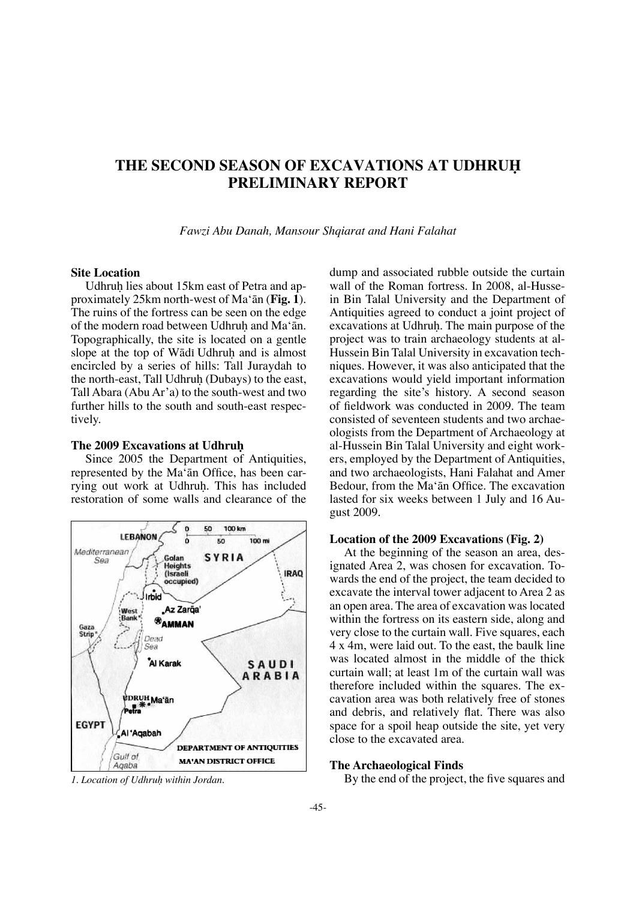# **THE SECOND SEASON OF EXCAVATIONS AT UDHRUH PRELIMINARY REPORT**

*Fawzi Abu Danah, Mansour Shqiarat and Hani Falahat*

# **Site Location**

Udhruh lies about 15km east of Petra and approximately 25km north-west of Ma'ån (**Fig. 1**). The ruins of the fortress can be seen on the edge of the modern road between Udhruh and Ma'ān. Topographically, the site is located on a gentle slope at the top of Wādī Udhruh and is almost encircled by a series of hills: Tall Juraydah to the north-east, Tall Udhruh (Dubays) to the east, Tall Abara (Abu Ar'a) to the south-west and two further hills to the south and south-east respectively.

### **The 2009 Excavations at Udhruh**

Since 2005 the Department of Antiquities, represented by the Ma'ān Office, has been carrying out work at Udhruh. This has included restoration of some walls and clearance of the



dump and associated rubble outside the curtain wall of the Roman fortress. In 2008, al-Hussein Bin Talal University and the Department of Antiquities agreed to conduct a joint project of excavations at Udhruh. The main purpose of the project was to train archaeology students at al-Hussein Bin Talal University in excavation techniques. However, it was also anticipated that the excavations would yield important information regarding the site's history. A second season of feldwork was conducted in 2009. The team consisted of seventeen students and two archaeologists from the Department of Archaeology at al-Hussein Bin Talal University and eight workers, employed by the Department of Antiquities, and two archaeologists, Hani Falahat and Amer Bedour, from the Ma'ān Office. The excavation lasted for six weeks between 1 July and 16 August 2009.

# **Location of the 2009 Excavations (Fig. 2)**

At the beginning of the season an area, designated Area 2, was chosen for excavation. Towards the end of the project, the team decided to excavate the interval tower adjacent to Area 2 as an open area. The area of excavation was located within the fortress on its eastern side, along and very close to the curtain wall. Five squares, each 4 x 4m, were laid out. To the east, the baulk line was located almost in the middle of the thick curtain wall; at least 1m of the curtain wall was therefore included within the squares. The excavation area was both relatively free of stones and debris, and relatively fat. There was also space for a spoil heap outside the site, yet very close to the excavated area.

## **The Archaeological Finds**

*1. Location of Udhru˙ within Jordan.* By the end of the project, the fve squares and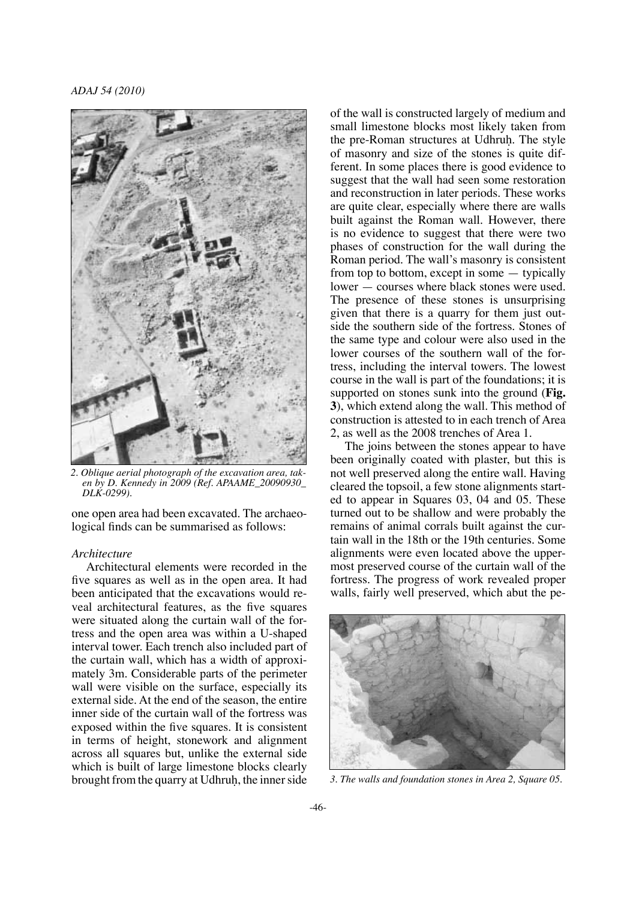*ADAJ 54 (2010)*



*2. Oblique aerial photograph of the excavation area, taken by D. Kennedy in 2009 (Ref. APAAME\_20090930\_ DLK-0299).*

one open area had been excavated. The archaeological fnds can be summarised as follows:

### *Architecture*

Architectural elements were recorded in the fve squares as well as in the open area. It had been anticipated that the excavations would reveal architectural features, as the fve squares were situated along the curtain wall of the fortress and the open area was within a U-shaped interval tower. Each trench also included part of the curtain wall, which has a width of approximately 3m. Considerable parts of the perimeter wall were visible on the surface, especially its external side. At the end of the season, the entire inner side of the curtain wall of the fortress was exposed within the fve squares. It is consistent in terms of height, stonework and alignment across all squares but, unlike the external side which is built of large limestone blocks clearly brought from the quarry at Udhruh, the inner side

of the wall is constructed largely of medium and small limestone blocks most likely taken from the pre-Roman structures at Udhruh. The style of masonry and size of the stones is quite different. In some places there is good evidence to suggest that the wall had seen some restoration and reconstruction in later periods. These works are quite clear, especially where there are walls built against the Roman wall. However, there is no evidence to suggest that there were two phases of construction for the wall during the Roman period. The wall's masonry is consistent from top to bottom, except in some — typically lower — courses where black stones were used. The presence of these stones is unsurprising given that there is a quarry for them just outside the southern side of the fortress. Stones of the same type and colour were also used in the lower courses of the southern wall of the fortress, including the interval towers. The lowest course in the wall is part of the foundations; it is supported on stones sunk into the ground (**Fig. 3**), which extend along the wall. This method of construction is attested to in each trench of Area 2, as well as the 2008 trenches of Area 1.

The joins between the stones appear to have been originally coated with plaster, but this is not well preserved along the entire wall. Having cleared the topsoil, a few stone alignments started to appear in Squares 03, 04 and 05. These turned out to be shallow and were probably the remains of animal corrals built against the curtain wall in the 18th or the 19th centuries. Some alignments were even located above the uppermost preserved course of the curtain wall of the fortress. The progress of work revealed proper walls, fairly well preserved, which abut the pe-



*3. The walls and foundation stones in Area 2, Square 05.*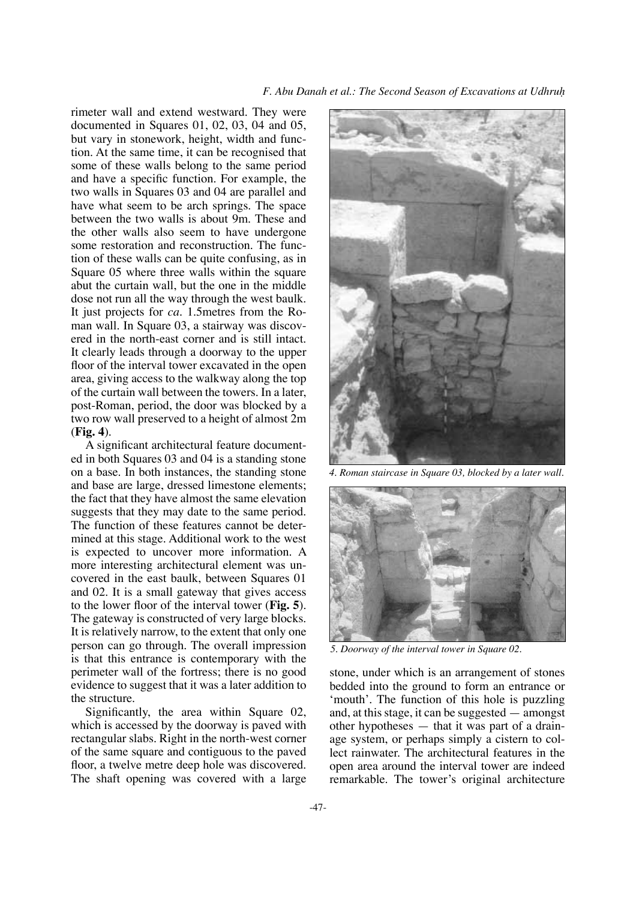rimeter wall and extend westward. They were documented in Squares 01, 02, 03, 04 and 05, but vary in stonework, height, width and function. At the same time, it can be recognised that some of these walls belong to the same period and have a specifc function. For example, the two walls in Squares 03 and 04 are parallel and have what seem to be arch springs. The space between the two walls is about 9m. These and the other walls also seem to have undergone some restoration and reconstruction. The function of these walls can be quite confusing, as in Square 05 where three walls within the square abut the curtain wall, but the one in the middle dose not run all the way through the west baulk. It just projects for *ca.* 1.5metres from the Roman wall. In Square 03, a stairway was discovered in the north-east corner and is still intact. It clearly leads through a doorway to the upper floor of the interval tower excavated in the open area, giving access to the walkway along the top of the curtain wall between the towers. In a later, post-Roman, period, the door was blocked by a two row wall preserved to a height of almost 2m (**Fig. 4**).

A signifcant architectural feature documented in both Squares 03 and 04 is a standing stone on a base. In both instances, the standing stone and base are large, dressed limestone elements; the fact that they have almost the same elevation suggests that they may date to the same period. The function of these features cannot be determined at this stage. Additional work to the west is expected to uncover more information. A more interesting architectural element was uncovered in the east baulk, between Squares 01 and 02. It is a small gateway that gives access to the lower foor of the interval tower (**Fig. 5**). The gateway is constructed of very large blocks. It is relatively narrow, to the extent that only one person can go through. The overall impression is that this entrance is contemporary with the perimeter wall of the fortress; there is no good evidence to suggest that it was a later addition to the structure.

Signifcantly, the area within Square 02, which is accessed by the doorway is paved with rectangular slabs. Right in the north-west corner of the same square and contiguous to the paved floor, a twelve metre deep hole was discovered. The shaft opening was covered with a large



*4. Roman staircase in Square 03, blocked by a later wall.*



*5. Doorway of the interval tower in Square 02.*

stone, under which is an arrangement of stones bedded into the ground to form an entrance or 'mouth'. The function of this hole is puzzling and, at this stage, it can be suggested — amongst other hypotheses — that it was part of a drainage system, or perhaps simply a cistern to collect rainwater. The architectural features in the open area around the interval tower are indeed remarkable. The tower's original architecture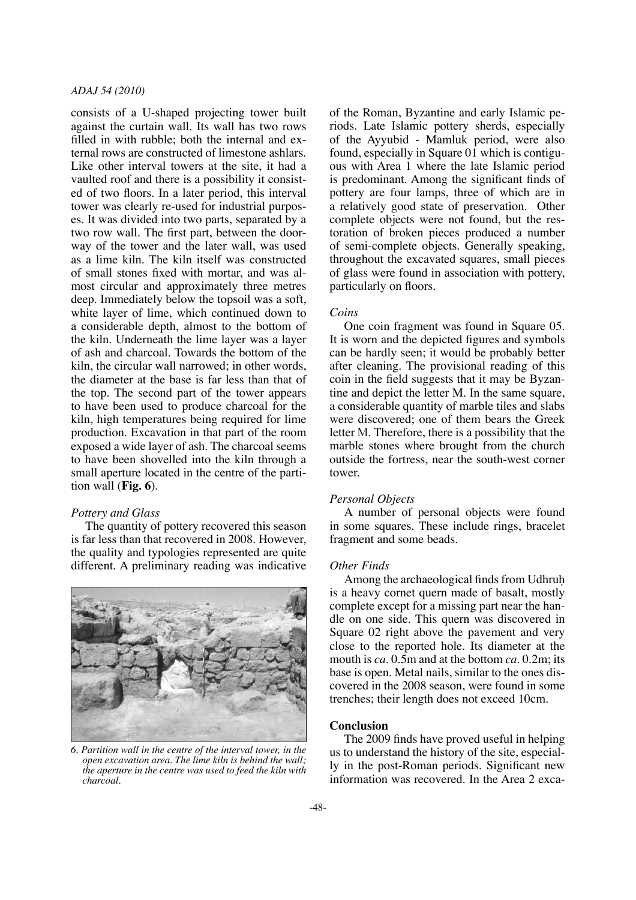# *ADAJ 54 (2010)*

consists of a U-shaped projecting tower built against the curtain wall. Its wall has two rows filled in with rubble; both the internal and external rows are constructed of limestone ashlars. Like other interval towers at the site, it had a vaulted roof and there is a possibility it consisted of two foors. In a later period, this interval tower was clearly re-used for industrial purposes. It was divided into two parts, separated by a two row wall. The frst part, between the doorway of the tower and the later wall, was used as a lime kiln. The kiln itself was constructed of small stones fxed with mortar, and was almost circular and approximately three metres deep. Immediately below the topsoil was a soft, white layer of lime, which continued down to a considerable depth, almost to the bottom of the kiln. Underneath the lime layer was a layer of ash and charcoal. Towards the bottom of the kiln, the circular wall narrowed; in other words, the diameter at the base is far less than that of the top. The second part of the tower appears to have been used to produce charcoal for the kiln, high temperatures being required for lime production. Excavation in that part of the room exposed a wide layer of ash. The charcoal seems to have been shovelled into the kiln through a small aperture located in the centre of the partition wall (**Fig. 6**).

### *Pottery and Glass*

The quantity of pottery recovered this season is far less than that recovered in 2008. However, the quality and typologies represented are quite different. A preliminary reading was indicative



*6. Partition wall in the centre of the interval tower, in the open excavation area. The lime kiln is behind the wall; the aperture in the centre was used to feed the kiln with charcoal.*

of the Roman, Byzantine and early Islamic periods. Late Islamic pottery sherds, especially of the Ayyubid - Mamluk period, were also found, especially in Square 01 which is contiguous with Area 1 where the late Islamic period is predominant. Among the signifcant fnds of pottery are four lamps, three of which are in a relatively good state of preservation. Other complete objects were not found, but the restoration of broken pieces produced a number of semi-complete objects. Generally speaking, throughout the excavated squares, small pieces of glass were found in association with pottery, particularly on floors.

### *Coins*

One coin fragment was found in Square 05. It is worn and the depicted fgures and symbols can be hardly seen; it would be probably better after cleaning. The provisional reading of this coin in the feld suggests that it may be Byzantine and depict the letter M. In the same square, a considerable quantity of marble tiles and slabs were discovered; one of them bears the Greek letter M. Therefore, there is a possibility that the marble stones where brought from the church outside the fortress, near the south-west corner tower.

### *Personal Objects*

A number of personal objects were found in some squares. These include rings, bracelet fragment and some beads.

### *Other Finds*

Among the archaeological finds from Udhruh is a heavy cornet quern made of basalt, mostly complete except for a missing part near the handle on one side. This quern was discovered in Square 02 right above the pavement and very close to the reported hole. Its diameter at the mouth is *ca.* 0.5m and at the bottom *ca.* 0.2m; its base is open. Metal nails, similar to the ones discovered in the 2008 season, were found in some trenches; their length does not exceed 10cm.

#### **Conclusion**

The 2009 fnds have proved useful in helping us to understand the history of the site, especially in the post-Roman periods. Signifcant new information was recovered. In the Area 2 exca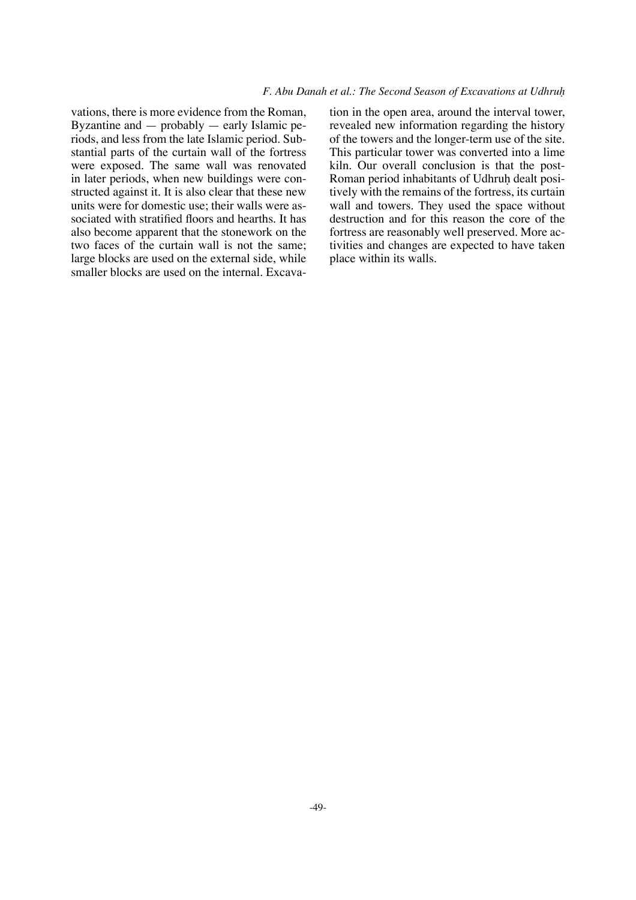vations, there is more evidence from the Roman, Byzantine and — probably — early Islamic periods, and less from the late Islamic period. Substantial parts of the curtain wall of the fortress were exposed. The same wall was renovated in later periods, when new buildings were constructed against it. It is also clear that these new units were for domestic use; their walls were associated with stratified floors and hearths. It has also become apparent that the stonework on the two faces of the curtain wall is not the same; large blocks are used on the external side, while smaller blocks are used on the internal. Excavation in the open area, around the interval tower, revealed new information regarding the history of the towers and the longer-term use of the site. This particular tower was converted into a lime kiln. Our overall conclusion is that the post-Roman period inhabitants of Udhruh dealt positively with the remains of the fortress, its curtain wall and towers. They used the space without destruction and for this reason the core of the fortress are reasonably well preserved. More activities and changes are expected to have taken place within its walls.